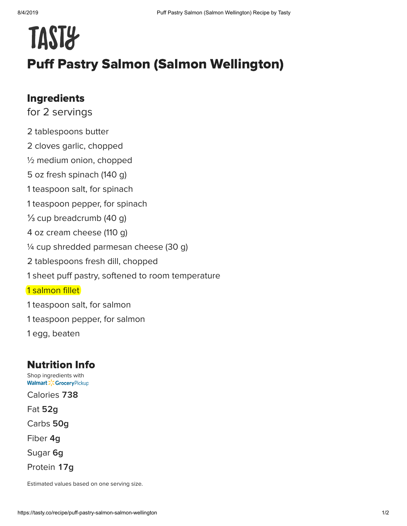## **TAST&** Puff Pastry Salmon (Salmon Wellington)

## Ingredients

for 2 servings

2 tablespoons butter 2 cloves garlic, chopped ½ medium onion, chopped 5 oz fresh spinach (140 g) 1 teaspoon salt, for spinach 1 teaspoon pepper, for spinach ⅓ cup breadcrumb (40 g) 4 oz cream cheese (110 g) ¼ cup shredded parmesan cheese (30 g) 2 tablespoons fresh dill, chopped 1 sheet puff pastry, softened to room temperature 1 salmon fillet 1 teaspoon salt, for salmon 1 teaspoon pepper, for salmon 1 egg, beaten

## Nutrition Info

[Shop ingredients with](https://grocery.walmart.com/) **Walmart > CGrocery Pickup** 

Calories 738

Fat **g**

Carbs **g**

Fiber 4g

Sugar 6g

Protein 17g

Estimated values based on one serving size.